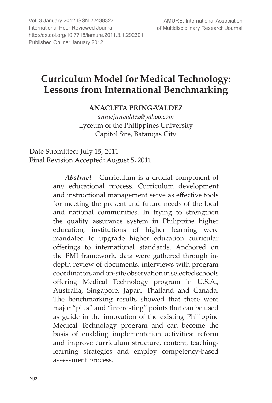International Peer Reviewed Journal **Figure 2018** of Mu Vol. 3 January 2012 ISSN 22438327 http://dx.doi.org/10.7718/iamure.2011.3.1.292301 Published Online: January 2012

# **Curriculum Model for Medical Technology: Lessons from International Benchmarking**

# **ANACLETA PRING-VALDEZ**

*anniejunvaldez@yahoo.com* Lyceum of the Philippines University Capitol Site, Batangas City

Date Submitted: July 15, 2011 Final Revision Accepted: August 5, 2011

> *Abstract* - Curriculum is a crucial component of any educational process. Curriculum development and instructional management serve as effective tools for meeting the present and future needs of the local and national communities. In trying to strengthen the quality assurance system in Philippine higher education, institutions of higher learning were mandated to upgrade higher education curricular offerings to international standards. Anchored on the PMI framework, data were gathered through indepth review of documents, interviews with program coordinators and on-site observation in selected schools offering Medical Technology program in U.S.A., Australia, Singapore, Japan, Thailand and Canada. The benchmarking results showed that there were major "plus" and "interesting" points that can be used as guide in the innovation of the existing Philippine Medical Technology program and can become the basis of enabling implementation activities: reform and improve curriculum structure, content, teachinglearning strategies and employ competency-based assessment process.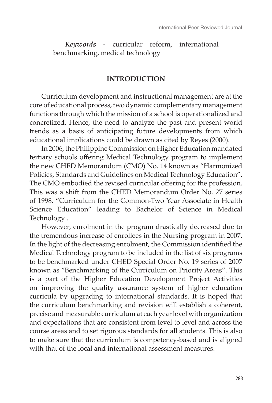*Keywords* - curricular reform, international benchmarking, medical technology

## **INTRODUCTION**

Curriculum development and instructional management are at the core of educational process, two dynamic complementary management functions through which the mission of a school is operationalized and concretized. Hence, the need to analyze the past and present world trends as a basis of anticipating future developments from which educational implications could be drawn as cited by Reyes (2000).

In 2006, the Philippine Commission on Higher Education mandated tertiary schools offering Medical Technology program to implement the new CHED Memorandum (CMO) No. 14 known as "Harmonized Policies, Standards and Guidelines on Medical Technology Education". The CMO embodied the revised curricular offering for the profession. This was a shift from the CHED Memorandum Order No. 27 series of 1998, "Curriculum for the Common-Two Year Associate in Health Science Education" leading to Bachelor of Science in Medical Technology .

However, enrolment in the program drastically decreased due to the tremendous increase of enrollees in the Nursing program in 2007. In the light of the decreasing enrolment, the Commission identified the Medical Technology program to be included in the list of six programs to be benchmarked under CHED Special Order No. 19 series of 2007 known as "Benchmarking of the Curriculum on Priority Areas". This is a part of the Higher Education Development Project Activities on improving the quality assurance system of higher education curricula by upgrading to international standards. It is hoped that the curriculum benchmarking and revision will establish a coherent, precise and measurable curriculum at each year level with organization and expectations that are consistent from level to level and across the course areas and to set rigorous standards for all students. This is also to make sure that the curriculum is competency-based and is aligned with that of the local and international assessment measures.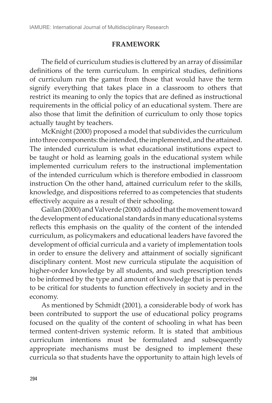# **FRAMEWORK**

The field of curriculum studies is cluttered by an array of dissimilar definitions of the term curriculum. In empirical studies, definitions of curriculum run the gamut from those that would have the term signify everything that takes place in a classroom to others that restrict its meaning to only the topics that are defined as instructional requirements in the official policy of an educational system. There are also those that limit the definition of curriculum to only those topics actually taught by teachers.

McKnight (2000) proposed a model that subdivides the curriculum into three components: the intended, the implemented, and the attained. The intended curriculum is what educational institutions expect to be taught or hold as learning goals in the educational system while implemented curriculum refers to the instructional implementation of the intended curriculum which is therefore embodied in classroom instruction On the other hand, attained curriculum refer to the skills, knowledge, and dispositions referred to as competencies that students effectively acquire as a result of their schooling.

Gailan (2000) and Valverde (2000) added that the movement toward the development of educational standards in many educational systems reflects this emphasis on the quality of the content of the intended curriculum, as policymakers and educational leaders have favored the development of official curricula and a variety of implementation tools in order to ensure the delivery and attainment of socially significant disciplinary content. Most new curricula stipulate the acquisition of higher-order knowledge by all students, and such prescription tends to be informed by the type and amount of knowledge that is perceived to be critical for students to function effectively in society and in the economy.

As mentioned by Schmidt (2001), a considerable body of work has been contributed to support the use of educational policy programs focused on the quality of the content of schooling in what has been termed content-driven systemic reform. It is stated that ambitious curriculum intentions must be formulated and subsequently appropriate mechanisms must be designed to implement these curricula so that students have the opportunity to attain high levels of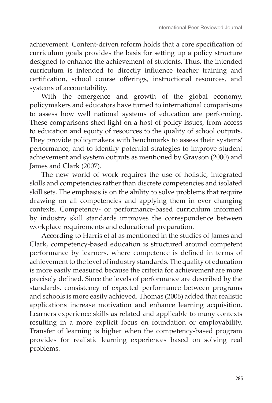achievement. Content-driven reform holds that a core specification of curriculum goals provides the basis for setting up a policy structure designed to enhance the achievement of students. Thus, the intended curriculum is intended to directly influence teacher training and certification, school course offerings, instructional resources, and systems of accountability.

With the emergence and growth of the global economy, policymakers and educators have turned to international comparisons to assess how well national systems of education are performing. These comparisons shed light on a host of policy issues, from access to education and equity of resources to the quality of school outputs. They provide policymakers with benchmarks to assess their systems' performance, and to identify potential strategies to improve student achievement and system outputs as mentioned by Grayson (2000) and James and Clark (2007).

The new world of work requires the use of holistic, integrated skills and competencies rather than discrete competencies and isolated skill sets. The emphasis is on the ability to solve problems that require drawing on all competencies and applying them in ever changing contexts. Competency- or performance-based curriculum informed by industry skill standards improves the correspondence between workplace requirements and educational preparation.

According to Harris et al as mentioned in the studies of James and Clark, competency-based education is structured around competent performance by learners, where competence is defined in terms of achievement to the level of industry standards. The quality of education is more easily measured because the criteria for achievement are more precisely defined. Since the levels of performance are described by the standards, consistency of expected performance between programs and schools is more easily achieved. Thomas (2006) added that realistic applications increase motivation and enhance learning acquisition. Learners experience skills as related and applicable to many contexts resulting in a more explicit focus on foundation or employability. Transfer of learning is higher when the competency-based program provides for realistic learning experiences based on solving real problems.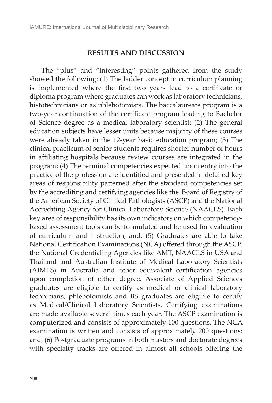#### **RESULTS AND DISCUSSION**

The "plus" and "interesting" points gathered from the study showed the following: (1) The ladder concept in curriculum planning is implemented where the first two years lead to a certificate or diploma program where graduates can work as laboratory technicians, histotechnicians or as phlebotomists. The baccalaureate program is a two-year continuation of the certificate program leading to Bachelor of Science degree as a medical laboratory scientist; (2) The general education subjects have lesser units because majority of these courses were already taken in the 12-year basic education program; (3) The clinical practicum of senior students requires shorter number of hours in affiliating hospitals because review courses are integrated in the program; (4) The terminal competencies expected upon entry into the practice of the profession are identified and presented in detailed key areas of responsibility patterned after the standard competencies set by the accrediting and certifying agencies like the Board of Registry of the American Society of Clinical Pathologists (ASCP) and the National Accrediting Agency for Clinical Laboratory Science (NAACLS). Each key area of responsibility has its own indicators on which competencybased assessment tools can be formulated and be used for evaluation of curriculum and instruction; and, (5) Graduates are able to take National Certification Examinations (NCA) offered through the ASCP, the National Credentialing Agencies like AMT, NAACLS in USA and Thailand and Australian Institute of Medical Laboratory Scientists (AIMLS) in Australia and other equivalent certification agencies upon completion of either degree. Associate of Applied Sciences graduates are eligible to certify as medical or clinical laboratory technicians, phlebotomists and BS graduates are eligible to certify as Medical/Clinical Laboratory Scientists. Certifying examinations are made available several times each year. The ASCP examination is computerized and consists of approximately 100 questions. The NCA examination is written and consists of approximately 200 questions; and, (6) Postgraduate programs in both masters and doctorate degrees with specialty tracks are offered in almost all schools offering the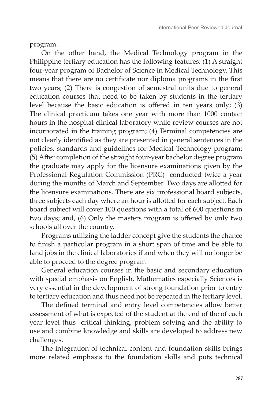program.

On the other hand, the Medical Technology program in the Philippine tertiary education has the following features: (1) A straight four-year program of Bachelor of Science in Medical Technology. This means that there are no certificate nor diploma programs in the first two years; (2) There is congestion of semestral units due to general education courses that need to be taken by students in the tertiary level because the basic education is offered in ten years only; (3) The clinical practicum takes one year with more than 1000 contact hours in the hospital clinical laboratory while review courses are not incorporated in the training program; (4) Terminal competencies are not clearly identified as they are presented in general sentences in the policies, standards and guidelines for Medical Technology program; (5) After completion of the straight four-year bachelor degree program the graduate may apply for the licensure examinations given by the Professional Regulation Commission (PRC) conducted twice a year during the months of March and September. Two days are allotted for the licensure examinations. There are six professional board subjects, three subjects each day where an hour is allotted for each subject. Each board subject will cover 100 questions with a total of 600 questions in two days; and, (6) Only the masters program is offered by only two schools all over the country.

Programs utilizing the ladder concept give the students the chance to finish a particular program in a short span of time and be able to land jobs in the clinical laboratories if and when they will no longer be able to proceed to the degree program

General education courses in the basic and secondary education with special emphasis on English, Mathematics especially Sciences is very essential in the development of strong foundation prior to entry to tertiary education and thus need not be repeated in the tertiary level.

The defined terminal and entry level competencies allow better assessment of what is expected of the student at the end of the of each year level thus critical thinking, problem solving and the ability to use and combine knowledge and skills are developed to address new challenges.

The integration of technical content and foundation skills brings more related emphasis to the foundation skills and puts technical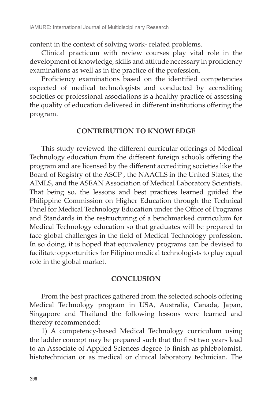content in the context of solving work- related problems.

Clinical practicum with review courses play vital role in the development of knowledge, skills and attitude necessary in proficiency examinations as well as in the practice of the profession.

Proficiency examinations based on the identified competencies expected of medical technologists and conducted by accrediting societies or professional associations is a healthy practice of assessing the quality of education delivered in different institutions offering the program.

#### **CONTRIBUTION TO KNOWLEDGE**

This study reviewed the different curricular offerings of Medical Technology education from the different foreign schools offering the program and are licensed by the different accrediting societies like the Board of Registry of the ASCP , the NAACLS in the United States, the AIMLS, and the ASEAN Association of Medical Laboratory Scientists. That being so, the lessons and best practices learned guided the Philippine Commission on Higher Education through the Technical Panel for Medical Technology Education under the Office of Programs and Standards in the restructuring of a benchmarked curriculum for Medical Technology education so that graduates will be prepared to face global challenges in the field of Medical Technology profession. In so doing, it is hoped that equivalency programs can be devised to facilitate opportunities for Filipino medical technologists to play equal role in the global market.

## **CONCLUSION**

From the best practices gathered from the selected schools offering Medical Technology program in USA, Australia, Canada, Japan, Singapore and Thailand the following lessons were learned and thereby recommended:

1) A competency-based Medical Technology curriculum using the ladder concept may be prepared such that the first two years lead to an Associate of Applied Sciences degree to finish as phlebotomist, histotechnician or as medical or clinical laboratory technician. The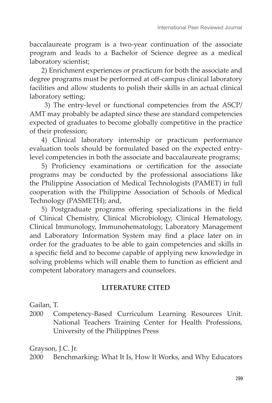baccalaureate program is a two-year continuation of the associate program and leads to a Bachelor of Science degree as a medical laboratory scientist;

2) Enrichment experiences or practicum for both the associate and degree programs must be performed at off-campus clinical laboratory facilities and allow students to polish their skills in an actual clinical laboratory setting;

 3) The entry-level or functional competencies from the ASCP/ AMT may probably be adapted since these are standard competencies expected of graduates to become globally competitive in the practice of their profession;

4) Clinical laboratory internship or practicum performance evaluation tools should be formulated based on the expected entrylevel competencies in both the associate and baccalaureate programs;

5) Proficiency examinations or certification for the associate programs may be conducted by the professional associations like the Philippine Association of Medical Technologists (PAMET) in full cooperation with the Philippine Association of Schools of Medical Technology (PASMETH); and,

5) Postgraduate programs offering specializations in the field of Clinical Chemistry, Clinical Microbiology, Clinical Hematology, Clinical Immunology, Immunohematology, Laboratory Management and Laboratory Information System may find a place later on in order for the graduates to be able to gain competencies and skills in a specific field and to become capable of applying new knowledge in solving problems which will enable them to function as efficient and competent laboratory managers and counselors.

## **LITERATURE CITED**

Gailan, T.

2000 Competency-Based Curriculum Learning Resources Unit. National Teachers Training Center for Health Professions, University of the Philippines Press

Grayson, J.C. Jr.

2000 Benchmarking: What It Is, How It Works, and Why Educators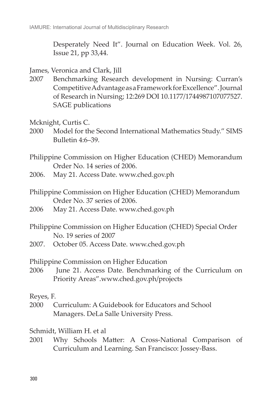Desperately Need It". Journal on Education Week. Vol. 26, Issue 21, pp 33,44.

- James, Veronica and Clark, Jill
- 2007 Benchmarking Research development in Nursing: Curran's Competitive Advantage as a Framework for Excellence". Journal of Research in Nursing; 12:269 DOI 10.1177/1744987107077527. SAGE publications
- Mcknight, Curtis C.
- 2000 Model for the Second International Mathematics Study." SIMS Bulletin 4:6–39.
- Philippine Commission on Higher Education (CHED) Memorandum Order No. 14 series of 2006.
- 2006. May 21. Access Date. www.ched.gov.ph
- Philippine Commission on Higher Education (CHED) Memorandum Order No. 37 series of 2006.
- 2006 May 21. Access Date. www.ched.gov.ph
- Philippine Commission on Higher Education (CHED) Special Order No. 19 series of 2007
- 2007. October 05. Access Date. www.ched.gov.ph

Philippine Commission on Higher Education

2006 June 21. Access Date. Benchmarking of the Curriculum on Priority Areas".www.ched.gov.ph/projects

#### Reyes, F.

2000 Curriculum: A Guidebook for Educators and School Managers. DeLa Salle University Press.

#### Schmidt, William H. et al

2001 Why Schools Matter: A Cross-National Comparison of Curriculum and Learning. San Francisco: Jossey-Bass.